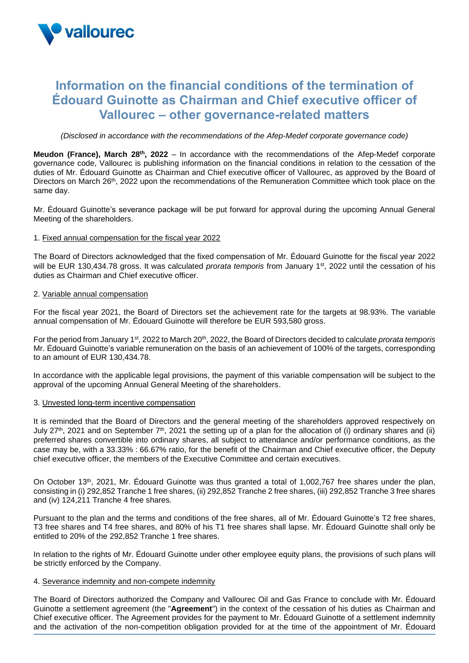

# **Information on the financial conditions of the termination of Édouard Guinotte as Chairman and Chief executive officer of Vallourec – other governance-related matters**

*(Disclosed in accordance with the recommendations of the Afep-Medef corporate governance code)*

**Meudon (France), March 28<sup>th</sup>, 2022** – In accordance with the recommendations of the Afep-Medef corporate governance code, Vallourec is publishing information on the financial conditions in relation to the cessation of the duties of Mr. Édouard Guinotte as Chairman and Chief executive officer of Vallourec, as approved by the Board of Directors on March 26<sup>th</sup>, 2022 upon the recommendations of the Remuneration Committee which took place on the same day.

Mr. Édouard Guinotte's severance package will be put forward for approval during the upcoming Annual General Meeting of the shareholders.

# 1. Fixed annual compensation for the fiscal year 2022

The Board of Directors acknowledged that the fixed compensation of Mr. Édouard Guinotte for the fiscal year 2022 will be EUR 130,434.78 gross. It was calculated *prorata temporis* from January 1st, 2022 until the cessation of his duties as Chairman and Chief executive officer.

# 2. Variable annual compensation

For the fiscal year 2021, the Board of Directors set the achievement rate for the targets at 98.93%. The variable annual compensation of Mr. Édouard Guinotte will therefore be EUR 593,580 gross.

For the period from January 1<sup>st</sup>, 2022 to March 20<sup>th</sup>, 2022, the Board of Directors decided to calculate *prorata temporis* Mr. Édouard Guinotte's variable remuneration on the basis of an achievement of 100% of the targets, corresponding to an amount of EUR 130,434.78.

In accordance with the applicable legal provisions, the payment of this variable compensation will be subject to the approval of the upcoming Annual General Meeting of the shareholders.

#### 3. Unvested long-term incentive compensation

It is reminded that the Board of Directors and the general meeting of the shareholders approved respectively on July 27<sup>th</sup>, 2021 and on September 7<sup>th</sup>, 2021 the setting up of a plan for the allocation of (i) ordinary shares and (ii) preferred shares convertible into ordinary shares, all subject to attendance and/or performance conditions, as the case may be, with a 33.33% : 66.67% ratio, for the benefit of the Chairman and Chief executive officer, the Deputy chief executive officer, the members of the Executive Committee and certain executives.

On October 13th, 2021, Mr. Édouard Guinotte was thus granted a total of 1,002,767 free shares under the plan, consisting in (i) 292,852 Tranche 1 free shares, (ii) 292,852 Tranche 2 free shares, (iii) 292,852 Tranche 3 free shares and (iv) 124,211 Tranche 4 free shares.

Pursuant to the plan and the terms and conditions of the free shares, all of Mr. Édouard Guinotte's T2 free shares, T3 free shares and T4 free shares, and 80% of his T1 free shares shall lapse. Mr. Édouard Guinotte shall only be entitled to 20% of the 292,852 Tranche 1 free shares.

In relation to the rights of Mr. Édouard Guinotte under other employee equity plans, the provisions of such plans will be strictly enforced by the Company.

#### 4. Severance indemnity and non-compete indemnity

The Board of Directors authorized the Company and Vallourec Oil and Gas France to conclude with Mr. Édouard Guinotte a settlement agreement (the "**Agreement**") in the context of the cessation of his duties as Chairman and Chief executive officer. The Agreement provides for the payment to Mr. Édouard Guinotte of a settlement indemnity and the activation of the non-competition obligation provided for at the time of the appointment of Mr. Édouard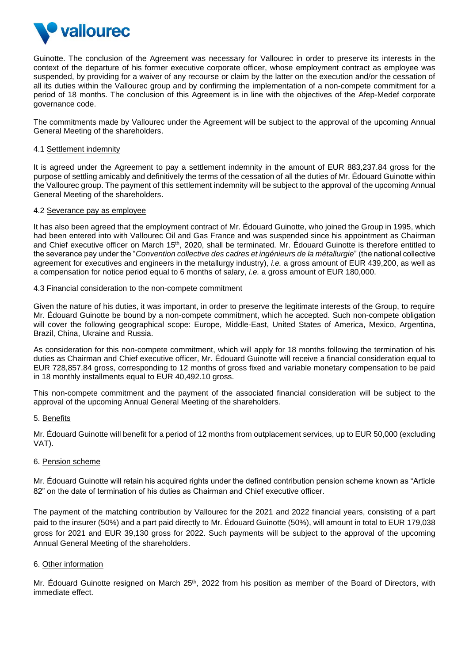

Guinotte. The conclusion of the Agreement was necessary for Vallourec in order to preserve its interests in the context of the departure of his former executive corporate officer, whose employment contract as employee was suspended, by providing for a waiver of any recourse or claim by the latter on the execution and/or the cessation of all its duties within the Vallourec group and by confirming the implementation of a non-compete commitment for a period of 18 months. The conclusion of this Agreement is in line with the objectives of the Afep-Medef corporate governance code.

The commitments made by Vallourec under the Agreement will be subject to the approval of the upcoming Annual General Meeting of the shareholders.

#### 4.1 Settlement indemnity

It is agreed under the Agreement to pay a settlement indemnity in the amount of EUR 883,237.84 gross for the purpose of settling amicably and definitively the terms of the cessation of all the duties of Mr. Édouard Guinotte within the Vallourec group. The payment of this settlement indemnity will be subject to the approval of the upcoming Annual General Meeting of the shareholders.

#### 4.2 Severance pay as employee

It has also been agreed that the employment contract of Mr. Édouard Guinotte, who joined the Group in 1995, which had been entered into with Vallourec Oil and Gas France and was suspended since his appointment as Chairman and Chief executive officer on March 15<sup>th</sup>, 2020, shall be terminated. Mr. Édouard Guinotte is therefore entitled to the severance pay under the "*Convention collective des cadres et ingénieurs de la métallurgie*" (the national collective agreement for executives and engineers in the metallurgy industry), *i.e.* a gross amount of EUR 439,200, as well as a compensation for notice period equal to 6 months of salary, *i.e.* a gross amount of EUR 180,000.

# 4.3 Financial consideration to the non-compete commitment

Given the nature of his duties, it was important, in order to preserve the legitimate interests of the Group, to require Mr. Édouard Guinotte be bound by a non-compete commitment, which he accepted. Such non-compete obligation will cover the following geographical scope: Europe, Middle-East, United States of America, Mexico, Argentina, Brazil, China, Ukraine and Russia.

As consideration for this non-compete commitment, which will apply for 18 months following the termination of his duties as Chairman and Chief executive officer, Mr. Édouard Guinotte will receive a financial consideration equal to EUR 728,857.84 gross, corresponding to 12 months of gross fixed and variable monetary compensation to be paid in 18 monthly installments equal to EUR 40,492.10 gross.

This non-compete commitment and the payment of the associated financial consideration will be subject to the approval of the upcoming Annual General Meeting of the shareholders.

#### 5. Benefits

Mr. Édouard Guinotte will benefit for a period of 12 months from outplacement services, up to EUR 50,000 (excluding VAT).

#### 6. Pension scheme

Mr. Édouard Guinotte will retain his acquired rights under the defined contribution pension scheme known as "Article 82" on the date of termination of his duties as Chairman and Chief executive officer.

The payment of the matching contribution by Vallourec for the 2021 and 2022 financial years, consisting of a part paid to the insurer (50%) and a part paid directly to Mr. Édouard Guinotte (50%), will amount in total to EUR 179,038 gross for 2021 and EUR 39,130 gross for 2022. Such payments will be subject to the approval of the upcoming Annual General Meeting of the shareholders.

# 6. Other information

Mr. Édouard Guinotte resigned on March 25<sup>th</sup>, 2022 from his position as member of the Board of Directors, with immediate effect.